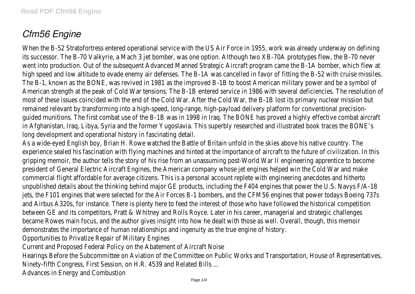## *Cfm56 Engine*

When the B-52 Stratofortress entered operational service with the US Air Force in 1955, work was already underway on degree of its successor. The B-70 Valkyrie, a Mach 3 jet bomber, was one option. Although two XB-70A prototypes flew, the B-70 went into production. Out of the subsequent Advanced Manned Strategic Aircraft program came the B-1A bomber, which fl high speed and low altitude to evade enemy air defenses. The B-1A was cancelled in favor of fitting the B-52 with cruise mi The B-1, known as the BONE, was revived in 1981 as the improved B-1B to boost American military power and be a sym American strength at the peak of Cold War tensions. The B-1B entered service in 1986 with several deficiencies. The resolut most of these issues coincided with the end of the Cold War. After the Cold War, the B-1B lost its primary nuclear mission remained relevant by transforming into a high-speed, long-range, high-payload delivery platform for conventional preci guided munitions. The first combat use of the B-1B was in 1998 in Iraq. The BONE has proved a highly effective combat ai in Afghanistan, Iraq, Libya, Syria and the former Yugoslavia. This superbly researched and illustrated book traces the B long development and operational history in fascinating det

As a wide-eyed English boy, Brian H. Rowe watched the Battle of Britain unfold in the skies above his native countr experience sealed his fascination with flying machines and hinted at the importance of aircraft to the future of civilization. I gripping memoir, the author tells the story of his rise from an unassuming post-World War II engineering apprentice to be president of General Electric Aircraft Engines, the American company whose jet engines helped win the Cold War and commercial flight affordable for average citizens. This is a personal account replete with engineering anecdotes and hit unpublished details about the thinking behind major GE products, including the F404 engines that power the U.S. Navys F jets, the F101 engines that were selected for the Air Forces B-1 bombers, and the CFM56 engines that power todays Boeing and Airbus A320s, for instance. There is plenty here to feed the interest of those who have followed the historical compe between GE and its competitors, Pratt & Whitney and Rolls Royce. Later in his career, managerial and strategic challe became Rowes main focus, and the author gives insight into how he dealt with those as well. Overall, though, this m demonstrates the importance of human relationships and ingenuity as the true engine of history.

Opportunities to Privatize Repair of Military Engines

Current and Proposed Federal Policy on the Abatement of Aircraft No

Hearings Before the Subcommittee on Aviation of the Committee on Public Works and Transportation, House of Representation Ninety-fifth Congress, First Session, on H.R. 4539 and Related Bill

Advances in Energy and Combustion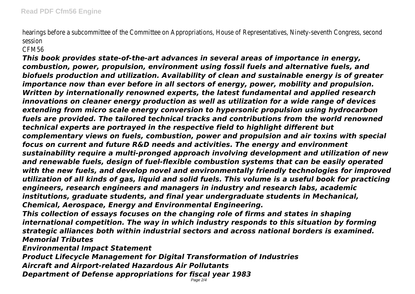hearings before a subcommittee of the Committee on Appropriations, House of Representatives, Ninety-seventh Congress, seconds session

## CFM56

*This book provides state-of-the-art advances in several areas of importance in energy, combustion, power, propulsion, environment using fossil fuels and alternative fuels, and biofuels production and utilization. Availability of clean and sustainable energy is of greater importance now than ever before in all sectors of energy, power, mobility and propulsion. Written by internationally renowned experts, the latest fundamental and applied research innovations on cleaner energy production as well as utilization for a wide range of devices extending from micro scale energy conversion to hypersonic propulsion using hydrocarbon fuels are provided. The tailored technical tracks and contributions from the world renowned technical experts are portrayed in the respective field to highlight different but complementary views on fuels, combustion, power and propulsion and air toxins with special focus on current and future R&D needs and activities. The energy and environment sustainability require a multi-pronged approach involving development and utilization of new and renewable fuels, design of fuel-flexible combustion systems that can be easily operated with the new fuels, and develop novel and environmentally friendly technologies for improved utilization of all kinds of gas, liquid and solid fuels. This volume is a useful book for practicing engineers, research engineers and managers in industry and research labs, academic institutions, graduate students, and final year undergraduate students in Mechanical, Chemical, Aerospace, Energy and Environmental Engineering.*

*This collection of essays focuses on the changing role of firms and states in shaping international competition. The way in which industry responds to this situation by forming strategic alliances both within industrial sectors and across national borders is examined. Memorial Tributes*

*Environmental Impact Statement*

*Product Lifecycle Management for Digital Transformation of Industries Aircraft and Airport-related Hazardous Air Pollutants Department of Defense appropriations for fiscal year 1983*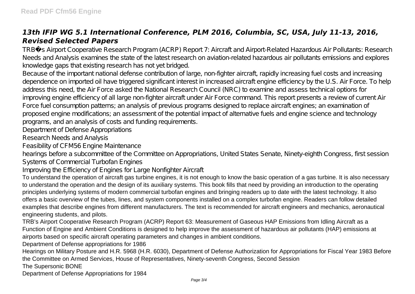## *13th IFIP WG 5.1 International Conference, PLM 2016, Columbia, SC, USA, July 11-13, 2016, Revised Selected Papers*

TRB¿s Airport Cooperative Research Program (ACRP) Report 7: Aircraft and Airport-Related Hazardous Air Pollutants: Research Needs and Analysis examines the state of the latest research on aviation-related hazardous air pollutants emissions and explores knowledge gaps that existing research has not yet bridged.

Because of the important national defense contribution of large, non-fighter aircraft, rapidly increasing fuel costs and increasing dependence on imported oil have triggered significant interest in increased aircraft engine efficiency by the U.S. Air Force. To help address this need, the Air Force asked the National Research Council (NRC) to examine and assess technical options for improving engine efficiency of all large non-fighter aircraft under Air Force command. This report presents a review of current Air Force fuel consumption patterns; an analysis of previous programs designed to replace aircraft engines; an examination of proposed engine modifications; an assessment of the potential impact of alternative fuels and engine science and technology programs, and an analysis of costs and funding requirements.

Department of Defense Appropriations

Research Needs and Analysis

Feasibility of CFM56 Engine Maintenance

hearings before a subcommittee of the Committee on Appropriations, United States Senate, Ninety-eighth Congress, first session Systems of Commercial Turbofan Engines

Improving the Efficiency of Engines for Large Nonfighter Aircraft

To understand the operation of aircraft gas turbine engines, it is not enough to know the basic operation of a gas turbine. It is also necessary to understand the operation and the design of its auxiliary systems. This book fills that need by providing an introduction to the operating principles underlying systems of modern commercial turbofan engines and bringing readers up to date with the latest technology. It also offers a basic overview of the tubes, lines, and system components installed on a complex turbofan engine. Readers can follow detailed examples that describe engines from different manufacturers. The text is recommended for aircraft engineers and mechanics, aeronautical engineering students, and pilots.

TRB's Airport Cooperative Research Program (ACRP) Report 63: Measurement of Gaseous HAP Emissions from Idling Aircraft as a Function of Engine and Ambient Conditions is designed to help improve the assessment of hazardous air pollutants (HAP) emissions at airports based on specific aircraft operating parameters and changes in ambient conditions.

Department of Defense appropriations for 1986

Hearings on Military Posture and H.R. 5968 (H.R. 6030), Department of Defense Authorization for Appropriations for Fiscal Year 1983 Before the Committee on Armed Services, House of Representatives, Ninety-seventh Congress, Second Session

The Supersonic BONE

Department of Defense Appropriations for 1984